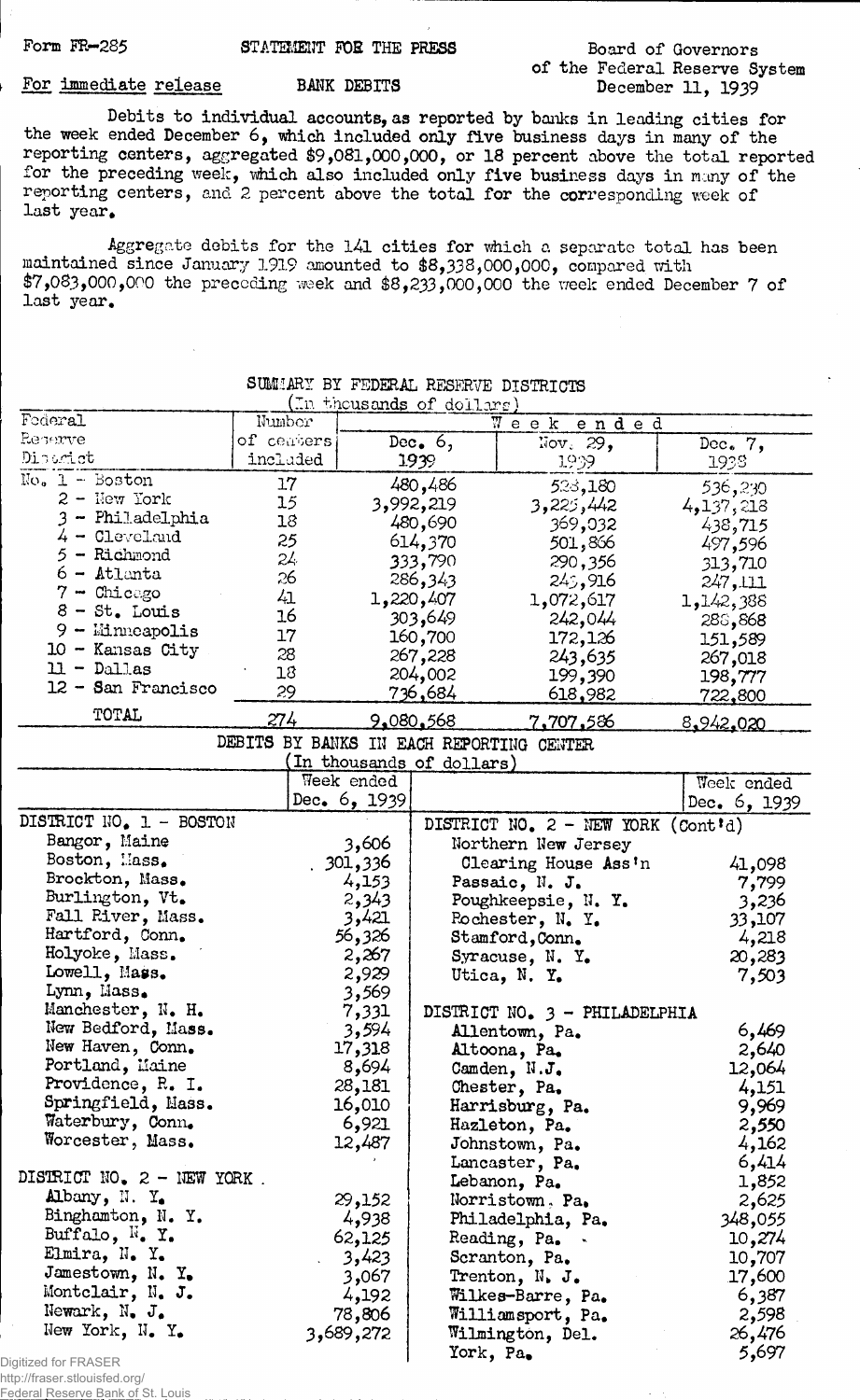#### Form FR-285

### STATEMENT FOR THE PRESS

## Board of Governors of the Federal Reserve System December 11, 1939

## For immediate release

BANK DEBITS

Debits to individual accounts, as reported by banks in leading cities for the week ended December 6, which included only five business days in many of the reporting centers, aggregated \$9,081,000,000, or 18 percent above the total reported for the preceding week, which also included only five business days in many of the reporting centers, and 2 percent above the total for the corresponding week of last year.

Aggregate debits for the 141 cities for which a separate total has been maintained since January 1919 amounted to \$8,338,000,000, compared with  $$7,083,000,000$  the preceding week and  $$8,233,000,000$  the week ended December 7 of last year.

| <u>n thousands of dollars</u>    |                                          |                |                                        |                                      |                |  |  |
|----------------------------------|------------------------------------------|----------------|----------------------------------------|--------------------------------------|----------------|--|--|
| Foderal                          | Number                                   |                |                                        | e e k<br>W<br>ended                  |                |  |  |
| Reperve                          | of ceaters                               | Dec. $6,$      |                                        | $\text{Nov. } 29$ ,                  | Dec. $7,$      |  |  |
| Disorict                         | included                                 |                | 1939                                   | 1939                                 | 1938           |  |  |
| $No. 1 - Boston$                 | 17                                       |                | 480,486                                | 523,180                              | 536,230        |  |  |
| 2 - Hew York                     | 15                                       |                | 3,992,219                              | 3,225,442                            | 4,137,218      |  |  |
| 3 - Philadelphia                 | 18                                       |                | 480,690                                | 369,032                              | 438,715        |  |  |
| $4 -$ Cleveland                  | 25                                       |                | 614,370                                | 501,866                              | 497,596        |  |  |
| 5 - Richmond                     | 24                                       |                | 333,790                                | 290,356                              | 313,710        |  |  |
| $6 -$ Atlanta                    | 26                                       |                | 286,343                                | 245,916                              | 247,111        |  |  |
| $7 -$ Chicago                    | 41                                       |                | 1,220,407                              | 1,072,617                            |                |  |  |
| $8 - St.$ Louis                  | 16                                       |                | 303,649                                | 242,044                              | 1,142,388      |  |  |
| $9 -$ Minneapolis                | 17                                       |                | 160,700                                |                                      | 288,868        |  |  |
| $10 -$ Kansas City               | 28                                       |                |                                        | 172,126                              | 151,589        |  |  |
| $11 - Dall$ as                   | 18                                       |                | 267,228                                | 243,635                              | 267,018        |  |  |
| $12 -$ San Francisco             | 29                                       |                | 204,002                                | 199,390                              | 198,777        |  |  |
|                                  |                                          |                | <u>736,684</u>                         | <u>618,982</u>                       | <u>722,800</u> |  |  |
| TOTAL                            | 274                                      |                | <u>9.080.568</u>                       | <u>7,707,586</u>                     | 8,942,020      |  |  |
|                                  | DEBITS BY BANKS IN EACH REPORTING CENTER |                |                                        |                                      |                |  |  |
|                                  |                                          |                | In thousands of dollars)               |                                      |                |  |  |
|                                  |                                          | Week ended     |                                        |                                      | Week ended     |  |  |
|                                  |                                          | Dec. $6, 1939$ |                                        |                                      | Dec. 6, 1939   |  |  |
| DISTRICT NO. 1 - BOSTON          |                                          |                |                                        | DISTRICT NO. $2$ - NEW YORK (Cont'd) |                |  |  |
| Bangor, Maine                    |                                          | 3,606          |                                        | Northern New Jersey                  |                |  |  |
| Boston, Mass.                    |                                          | 301,336        |                                        | Clearing House Ass'n                 | 41,098         |  |  |
| Brockton, Mass.                  |                                          | 4,153          |                                        | Passaic, N. J.                       | 7,799          |  |  |
| Burlington, Vt.                  |                                          | 2,343          |                                        | Poughkeepsie, N. Y.                  | 3,236          |  |  |
| Fall River, Mass.                |                                          | 3,421          |                                        | Rochester, $N_e$ Y.                  | 33,107         |  |  |
| Hartford, Conn.                  |                                          | 56,326         |                                        | Stamford, Conn.                      | 4,218          |  |  |
| Holyoke, Mass.                   |                                          | 2,267          |                                        |                                      |                |  |  |
| Lowell, Mass.                    |                                          | 2,929          |                                        | Syracuse, N. Y.                      | 20,283         |  |  |
| Lynn, Mass.                      |                                          | 3,569          |                                        | Utica, N. Y.                         | 7,503          |  |  |
| Manchester, N. H.                |                                          |                |                                        |                                      |                |  |  |
| New Bedford, Mass.               |                                          | 7,331          |                                        | DISTRICT NO. 3 - PHILADELPHIA        |                |  |  |
| New Haven, Conn.                 |                                          | 3,594          |                                        | Allentown, Pa.                       | 6,469          |  |  |
|                                  |                                          | 17,318         |                                        | Altoona, Pa.                         | 2,640          |  |  |
| Portland, Maine                  |                                          | 8,694          |                                        | Camden, N.J.                         | 12,064         |  |  |
| Providence, R. I.                |                                          | 28,181         |                                        | Chester, Pa.                         | 4,151          |  |  |
| Springfield, Mass.               |                                          | 16,010         |                                        | Harrisburg, Pa.                      | 9,969          |  |  |
| Waterbury, Conn.                 |                                          | 6,921          |                                        | Hazleton, Pa.                        | 2,550          |  |  |
| Worcester, Mass.                 |                                          | 12,487         |                                        | Johnstown, Pa.                       | 4,162          |  |  |
|                                  |                                          |                |                                        | Lancaster, Pa.                       | 6,414          |  |  |
| DISTRICT NO. $z$ - NEW YORK.     |                                          |                |                                        | Lebanon, Pa.                         | 1,852          |  |  |
| Albany, N.Y.                     |                                          | 29,152         |                                        | Norristown, Pa.                      | 2,625          |  |  |
| Binghamton, N. Y.                |                                          | 4,938          |                                        | Philadelphia, Pa.                    | 348,055        |  |  |
| Buffalo, $\mathbb{N}_\bullet$ Y. |                                          | 62,125         |                                        | Reading, Pa.                         | 10,274         |  |  |
| Elmira, N. Y.                    |                                          | 3,423          |                                        | Scranton, Pa.                        | 10,707         |  |  |
| Jamestown, N. Y.                 |                                          | 3,067          |                                        | Trenton, N. J.                       | 17,600         |  |  |
| Montclair, N. J.                 |                                          | 4,192          |                                        |                                      | 6,387          |  |  |
| Newark, N. J.                    |                                          | 78,806         | Wilkes-Barre, Pa.<br>Williamsport, Pa. |                                      | 2,598          |  |  |
| New York, N. Y.                  |                                          | 3,689,272      |                                        |                                      |                |  |  |
|                                  |                                          |                |                                        | Wilmington, Del.                     | 26,476         |  |  |
| gitized for FRASER               |                                          |                | York, Pa.                              |                                      | 5,697          |  |  |

# SUMMARY BY FEDERAL RESERVE DISTRICTS

Di

http://fraser.stlouisfed.org/ Federal Reserve Bank of St. Louis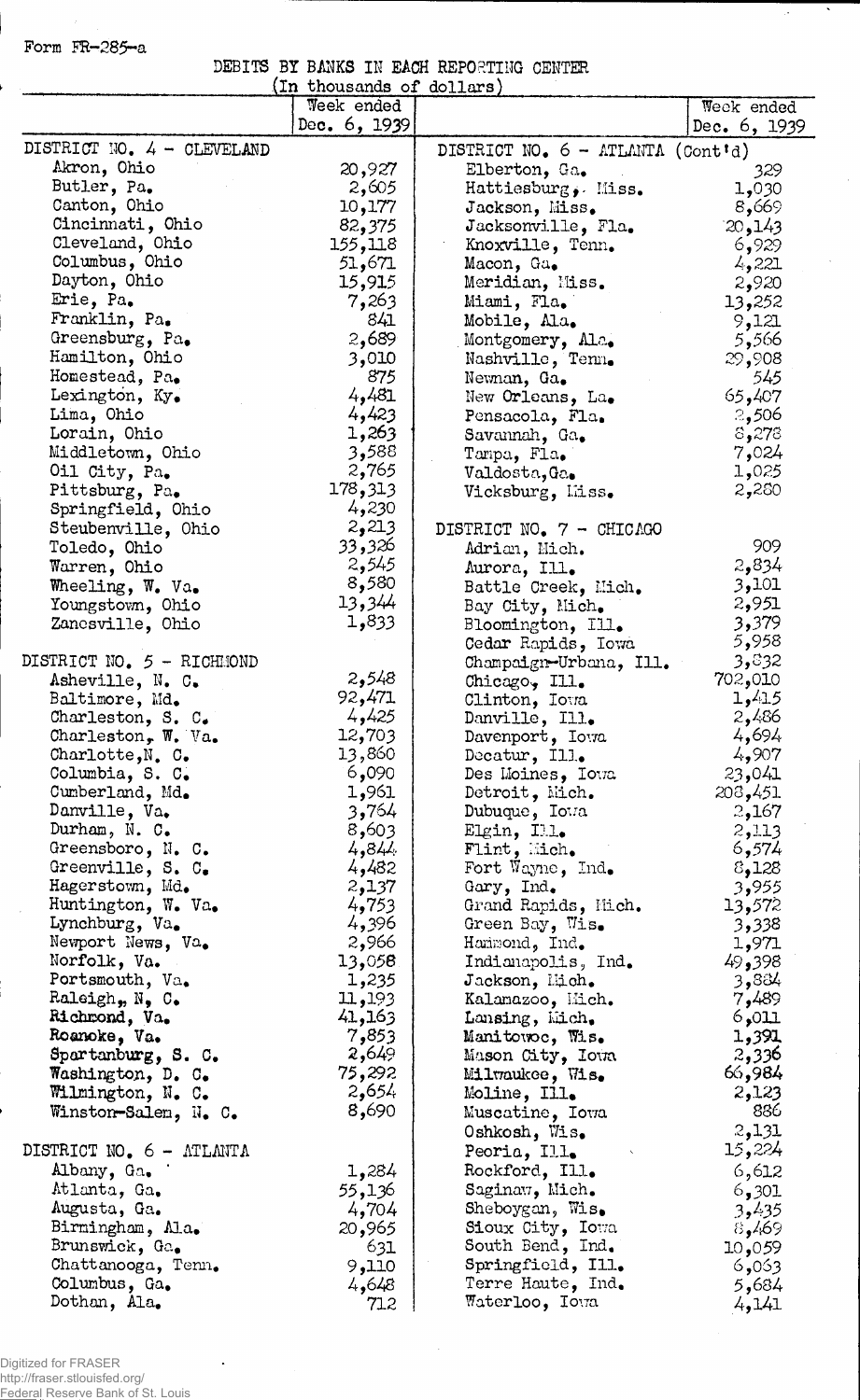Form FR-285-a

| DEBITS BY BANKS IN EACH REPORTING CENTER |  |  |  |  |
|------------------------------------------|--|--|--|--|
|                                          |  |  |  |  |

Ļ.

 $\ddot{\phantom{a}}$ 

|                              | (In thousands of dollars) |                                           |              |
|------------------------------|---------------------------|-------------------------------------------|--------------|
|                              | Week ended                |                                           | Week ended   |
|                              | Dec. 6, 1939              |                                           | Dec. 6, 1939 |
| DISTRICT NO. 4 - CLEVELAND   |                           | DISTRICT NO. $6 - \text{ATLMTA}$ (Cont'd) |              |
| Akron, Ohio                  | 20,927                    | Elberton, Ga.                             | 329          |
| Butler, Pa.                  | 2,605                     | Hattiesburg, Miss.                        | 1,030        |
| Canton, Ohio                 | 10,177                    | Jackson, Miss.                            | 8,669        |
| Cincinnati, Ohio             | 82,375                    | Jacksonville, Fla.                        | 20,143       |
| Cleveland, Ohio              | 155,118                   | Knoxville, Tenn.                          | 6,929        |
| Columbus, Ohio               | 51,671                    | Macon, Ga.                                | 4,221        |
| Dayton, Ohio                 | 15,915                    | Meridian, Miss.                           | 2,920        |
| Erie, Pa.                    | 7,263                     | Miami, Fla.                               | 13,252       |
| Franklin, Pa.                | 841                       |                                           |              |
| Greensburg, Pa.              | 2,689                     | Mobile, Ala.                              | 9,121        |
|                              |                           | Montgomery, Ala.                          | 5,566        |
| Hamilton, Ohio               | 3,010                     | Nashville, Tenn.                          | 29,908       |
| Homestead, Pa.               | 875                       | Newnan, Ga.                               | 545          |
| Lexington, Ky.               | 4,481                     | New Orleans, La.                          | 65,407       |
| Lima, Ohio                   | 4,423                     | Pensacola, Fla.                           | 2,506        |
| Lorain, Ohio                 | 1,263                     | Savannah, Ga.                             | \$,278       |
| Middletown, Ohio             | 3,588                     | Tampa, Fla.                               | 7,024        |
| Oil City, Pa.                | 2,765                     | Valdosta, Ga.                             | 1,025        |
| Pittsburg, Pa.               | 178,313                   | Vicksburg, Liss.                          | 2,280        |
| Springfield, Ohio            | 4,230                     |                                           |              |
| Steubenville, Ohio           | 2,213                     | DISTRICT NO. 7 - CHICAGO                  |              |
| Toledo, Ohio                 | 33,326                    | Adrian, Mich.                             | 909          |
| Warren, Ohio                 | 2,545                     | Aurora, Ill.                              | 2,834        |
| Wheeling, W. Va.             | 8,580                     | Battle Creek, Mich.                       | 3,101        |
| Youngstown, Ohio             | 13,344                    | Bay City, Mich.                           | 2,951        |
| Zancsville, Ohio             | 1,833                     | Bloomington, Ill.                         | 3,379        |
|                              |                           | Cedar Rapids, Iowa                        | 5,958        |
| DISTRICT NO. 5 - RICHMOND    |                           | Champaign-Urbana, Ill.                    | 3,832        |
| Asheville, N. C.             | 2,548                     | Chicago, Ill.                             | 702,010      |
| Baltimore, Md.               | 92,471                    |                                           | 1,415        |
|                              | 4,425                     | Clinton, Iowa                             | 2,486        |
| Charleston, S. $C_{\bullet}$ | 12,703                    | Danville, Ill.                            | 4,694        |
| Charleston, W. Va.           | 13,860                    | Davenport, Iowa                           | 4,907        |
| Charlotte, N. C.             |                           | Decatur, Ill.                             |              |
| Columbia, S. C.              | 6,090                     | Des Moines, Ioua                          | 23,041       |
| Cumberland, Md.              | 1,961                     | Detroit, Mich.                            | 208,451      |
| Danville, Va.                | 3,764                     | Dubuque, Iowa                             | 2,167        |
| Durham, N. C.                | 8,603                     | Elgin, Ill.                               | 2,113        |
| Greensboro, N. C.            | 4,84.                     | $\texttt{Flint}, \texttt{Mich},$          | 6,574        |
| Greenville, S. C.            | 4,482                     | Fort Wayne, Ind.                          | 8,128        |
| Hagerstown, Md.              | 2,137                     | Gary, Ind.                                | 3,955        |
| Huntington, W. Va.           | 4,753                     | Grand Rapids, Mich.                       | 13,572       |
| Lynchburg, Va.               | 4,396                     | Green Bay, Wis.                           | 3,338        |
| Newport News, Va.            | 2,966                     | Hammond, Ind.                             | 1,971        |
| Norfolk, Va.                 | 13,058                    | Indianapolis, Ind.                        | 49,398       |
| Portsmouth, Va.              | 1,235                     | Jackson, Lidh.                            | 3,884        |
| Raleigh, N, C.               | 11,193                    | Kalanazoo, Mich.                          | 7,489        |
| Richmond, Va.                | 41,163                    | Lansing, Mich.                            | 5,011        |
| Roanoke, Va.                 | 7,853                     | Manitowoc, Wis.                           | 1,391        |
| Spartanburg, S. C.           | 2,649                     | Mason City, Ioua                          | 2,336        |
| Washington, D. C.            | 75,292                    | Miltraukee, Wis.                          | 66,984       |
| Wilmington, N. C.            | 2,654                     | Moline, Ill.                              | 2,123        |
| Winston-Salem, N. C.         | 8,690                     | Muscatine, Iowa                           | 886          |
|                              |                           | Oshkosh, Wis.                             | 2,131        |
| DISTRICT NO. 6 - ATLANTA     |                           | Peoria, Ill.                              | 15,224       |
|                              |                           |                                           |              |
| Albany, Ga.                  | 1,284                     | Rockford, Ill.                            | 6,612        |
| Atlanta, Ga.                 | 55,136                    | Saginaw, Mich.                            | 6,301        |
| Augusta, Ga.                 | 4,704                     | Sheboygan, Wis.                           | 3,435        |
| Birmingham, Ala.             | 20,965                    | Sioux City, Iowa                          | 8,469        |
| Brunswick, Ga.               | 631                       | South Bend, Ind.                          | 10,059       |
| Chattanooga, Tenn.           | 9,110                     | Springfield, Ill.                         | 6,053        |
| Columbus, Ga.                | 4,648                     | Terre Haute, Ind.                         | 5,684        |
| Dothan, Ala.                 | 712                       | Waterloo, Iowa                            | 4,141        |

 $\ddot{\phantom{a}}$